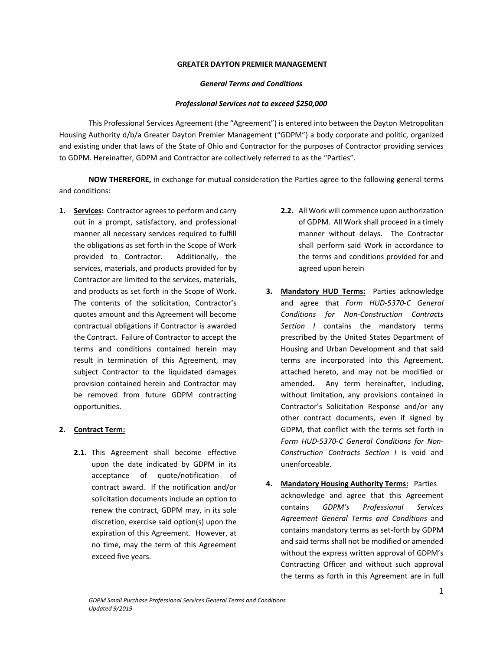### **GREATER DAYTON PREMIER MANAGEMENT**

#### *General Terms and Conditions*

### *Professional Services not to exceed \$250,000*

This Professional Services Agreement (the "Agreement") is entered into between the Dayton Metropolitan Housing Authority d/b/a Greater Dayton Premier Management ("GDPM") a body corporate and politic, organized and existing under that laws of the State of Ohio and Contractor for the purposes of Contractor providing services to GDPM. Hereinafter, GDPM and Contractor are collectively referred to as the "Parties".

**NOW THEREFORE,** in exchange for mutual consideration the Parties agree to the following general terms and conditions:

1. **Services:** Contractor agrees to perform and carry out in a prompt, satisfactory, and professional manner all necessary services required to fulfill the obligations as set forth in the Scope of Work provided to Contractor. Additionally, the services, materials, and products provided for by Contractor are limited to the services, materials, and products as set forth in the Scope of Work. The contents of the solicitation, Contractor's quotes amount and this Agreement will become contractual obligations if Contractor is awarded the Contract. Failure of Contractor to accept the terms and conditions contained herein may result in termination of this Agreement, may subject Contractor to the liquidated damages provision contained herein and Contractor may be removed from future GDPM contracting opportunities.

## **2. Contract Term:**

**2.1.** This Agreement shall become effective upon the date indicated by GDPM in its acceptance of quote/notification of contract award. If the notification and/or solicitation documents include an option to renew the contract, GDPM may, in its sole discretion, exercise said option(s) upon the expiration of this Agreement. However, at no time, may the term of this Agreement exceed five years.

- **2.2.** All Work will commence upon authorization of GDPM. All Work shall proceed in a timely manner without delays. The Contractor shall perform said Work in accordance to the terms and conditions provided for and agreed upon herein
- **3. Mandatory HUD Terms:** Parties acknowledge and agree that *Form HUD‐5370‐C General Conditions for Non‐Construction Contracts Section I*  contains the mandatory terms prescribed by the United States Department of Housing and Urban Development and that said terms are incorporated into this Agreement, attached hereto, and may not be modified or amended. Any term hereinafter, including, without limitation, any provisions contained in Contractor's Solicitation Response and/or any other contract documents, even if signed by GDPM, that conflict with the terms set forth in *Form HUD‐5370‐C General Conditions for Non‐ Construction Contracts Section I*  is void and unenforceable.
- **4. Mandatory Housing Authority Terms:**  Parties acknowledge and agree that this Agreement contains *GDPM's Professional Services Agreement General Terms and Conditions* and contains mandatory terms as set‐forth by GDPM and said terms shall not be modified or amended without the express written approval of GDPM's Contracting Officer and without such approval the terms as forth in this Agreement are in full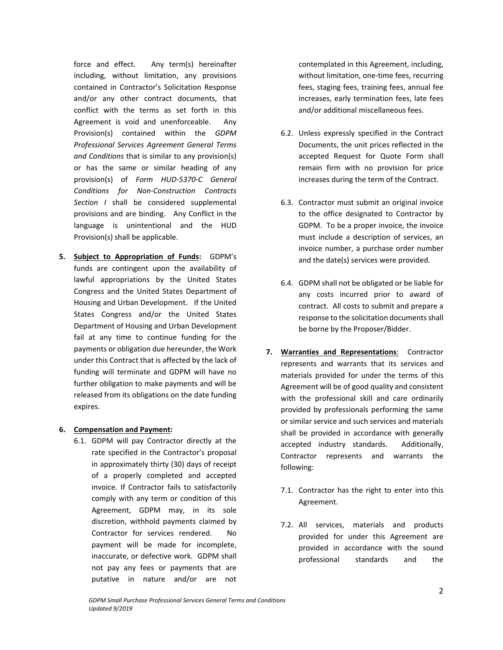force and effect. Any term(s) hereinafter including, without limitation, any provisions contained in Contractor's Solicitation Response and/or any other contract documents, that conflict with the terms as set forth in this Agreement is void and unenforceable. Any Provision(s) contained within the *GDPM Professional Services Agreement General Terms and Conditions* that is similar to any provision(s) or has the same or similar heading of any provision(s) of *Form HUD‐5370‐C General Conditions for Non‐Construction Contracts Section I*  shall be considered supplemental provisions and are binding. Any Conflict in the language is unintentional and the HUD Provision(s) shall be applicable.

**5. Subject to Appropriation of Funds:** GDPM's funds are contingent upon the availability of lawful appropriations by the United States Congress and the United States Department of Housing and Urban Development. If the United States Congress and/or the United States Department of Housing and Urban Development fail at any time to continue funding for the payments or obligation due hereunder, the Work under this Contract that is affected by the lack of funding will terminate and GDPM will have no further obligation to make payments and will be released from its obligations on the date funding expires.

## **6. Compensation and Payment:**

6.1. GDPM will pay Contractor directly at the rate specified in the Contractor's proposal in approximately thirty (30) days of receipt of a properly completed and accepted invoice. If Contractor fails to satisfactorily comply with any term or condition of this Agreement, GDPM may, in its sole discretion, withhold payments claimed by Contractor for services rendered. No payment will be made for incomplete, inaccurate, or defective work. GDPM shall not pay any fees or payments that are putative in nature and/or are not

contemplated in this Agreement, including, without limitation, one-time fees, recurring fees, staging fees, training fees, annual fee increases, early termination fees, late fees and/or additional miscellaneous fees.

- 6.2. Unless expressly specified in the Contract Documents, the unit prices reflected in the accepted Request for Quote Form shall remain firm with no provision for price increases during the term of the Contract.
- 6.3. Contractor must submit an original invoice to the office designated to Contractor by GDPM. To be a proper invoice, the invoice must include a description of services, an invoice number, a purchase order number and the date(s) services were provided.
- 6.4. GDPM shall not be obligated or be liable for any costs incurred prior to award of contract. All costs to submit and prepare a response to the solicitation documents shall be borne by the Proposer/Bidder.
- **7. Warranties and Representations**: Contractor represents and warrants that its services and materials provided for under the terms of this Agreement will be of good quality and consistent with the professional skill and care ordinarily provided by professionals performing the same or similar service and such services and materials shall be provided in accordance with generally accepted industry standards. Additionally, Contractor represents and warrants the following:
	- 7.1. Contractor has the right to enter into this Agreement.
	- 7.2. All services, materials and products provided for under this Agreement are provided in accordance with the sound professional standards and the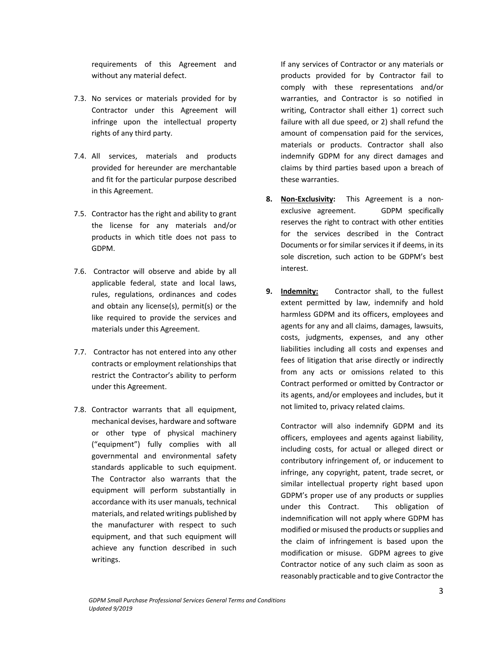requirements of this Agreement and without any material defect.

- 7.3. No services or materials provided for by Contractor under this Agreement will infringe upon the intellectual property rights of any third party.
- 7.4. All services, materials and products provided for hereunder are merchantable and fit for the particular purpose described in this Agreement.
- 7.5. Contractor has the right and ability to grant the license for any materials and/or products in which title does not pass to GDPM.
- 7.6. Contractor will observe and abide by all applicable federal, state and local laws, rules, regulations, ordinances and codes and obtain any license(s), permit(s) or the like required to provide the services and materials under this Agreement.
- 7.7. Contractor has not entered into any other contracts or employment relationships that restrict the Contractor's ability to perform under this Agreement.
- 7.8. Contractor warrants that all equipment, mechanical devises, hardware and software or other type of physical machinery ("equipment") fully complies with all governmental and environmental safety standards applicable to such equipment. The Contractor also warrants that the equipment will perform substantially in accordance with its user manuals, technical materials, and related writings published by the manufacturer with respect to such equipment, and that such equipment will achieve any function described in such writings.

If any services of Contractor or any materials or products provided for by Contractor fail to comply with these representations and/or warranties, and Contractor is so notified in writing, Contractor shall either 1) correct such failure with all due speed, or 2) shall refund the amount of compensation paid for the services, materials or products. Contractor shall also indemnify GDPM for any direct damages and claims by third parties based upon a breach of these warranties.

- **8. Non‐Exclusivity:** This Agreement is a non‐ exclusive agreement. GDPM specifically reserves the right to contract with other entities for the services described in the Contract Documents or for similar services it if deems, in its sole discretion, such action to be GDPM's best interest.
- **9. Indemnity:** Contractor shall, to the fullest extent permitted by law, indemnify and hold harmless GDPM and its officers, employees and agents for any and all claims, damages, lawsuits, costs, judgments, expenses, and any other liabilities including all costs and expenses and fees of litigation that arise directly or indirectly from any acts or omissions related to this Contract performed or omitted by Contractor or its agents, and/or employees and includes, but it not limited to, privacy related claims.

Contractor will also indemnify GDPM and its officers, employees and agents against liability, including costs, for actual or alleged direct or contributory infringement of, or inducement to infringe, any copyright, patent, trade secret, or similar intellectual property right based upon GDPM's proper use of any products or supplies under this Contract. This obligation of indemnification will not apply where GDPM has modified or misused the products or supplies and the claim of infringement is based upon the modification or misuse. GDPM agrees to give Contractor notice of any such claim as soon as reasonably practicable and to give Contractor the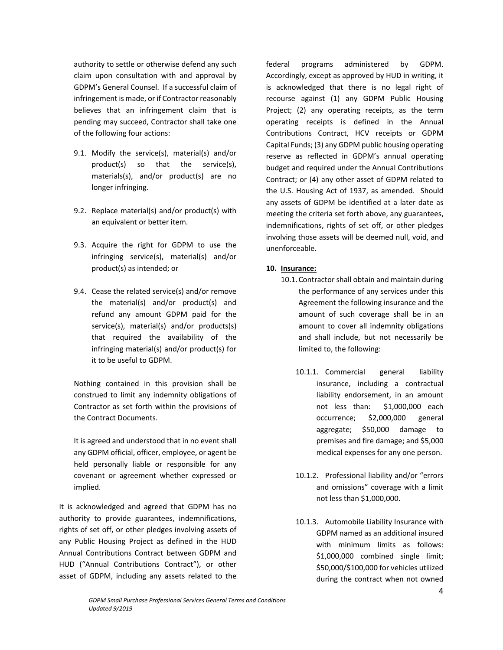authority to settle or otherwise defend any such claim upon consultation with and approval by GDPM's General Counsel. If a successful claim of infringement is made, or if Contractor reasonably believes that an infringement claim that is pending may succeed, Contractor shall take one of the following four actions:

- 9.1. Modify the service(s), material(s) and/or product(s) so that the service(s), materials(s), and/or product(s) are no longer infringing.
- 9.2. Replace material(s) and/or product(s) with an equivalent or better item.
- 9.3. Acquire the right for GDPM to use the infringing service(s), material(s) and/or product(s) as intended; or
- 9.4. Cease the related service(s) and/or remove the material(s) and/or product(s) and refund any amount GDPM paid for the service(s), material(s) and/or products(s) that required the availability of the infringing material(s) and/or product(s) for it to be useful to GDPM.

Nothing contained in this provision shall be construed to limit any indemnity obligations of Contractor as set forth within the provisions of the Contract Documents.

It is agreed and understood that in no event shall any GDPM official, officer, employee, or agent be held personally liable or responsible for any covenant or agreement whether expressed or implied.

It is acknowledged and agreed that GDPM has no authority to provide guarantees, indemnifications, rights of set off, or other pledges involving assets of any Public Housing Project as defined in the HUD Annual Contributions Contract between GDPM and HUD ("Annual Contributions Contract"), or other asset of GDPM, including any assets related to the

federal programs administered by GDPM. Accordingly, except as approved by HUD in writing, it is acknowledged that there is no legal right of recourse against (1) any GDPM Public Housing Project; (2) any operating receipts, as the term operating receipts is defined in the Annual Contributions Contract, HCV receipts or GDPM Capital Funds; (3) any GDPM public housing operating reserve as reflected in GDPM's annual operating budget and required under the Annual Contributions Contract; or (4) any other asset of GDPM related to the U.S. Housing Act of 1937, as amended. Should any assets of GDPM be identified at a later date as meeting the criteria set forth above, any guarantees, indemnifications, rights of set off, or other pledges involving those assets will be deemed null, void, and unenforceable.

# **10. Insurance:**

- 10.1.Contractor shall obtain and maintain during the performance of any services under this Agreement the following insurance and the amount of such coverage shall be in an amount to cover all indemnity obligations and shall include, but not necessarily be limited to, the following:
	- 10.1.1. Commercial general liability insurance, including a contractual liability endorsement, in an amount not less than: \$1,000,000 each occurrence; \$2,000,000 general aggregate; \$50,000 damage to premises and fire damage; and \$5,000 medical expenses for any one person.
	- 10.1.2. Professional liability and/or "errors and omissions" coverage with a limit not less than \$1,000,000.
	- 10.1.3. Automobile Liability Insurance with GDPM named as an additional insured with minimum limits as follows: \$1,000,000 combined single limit; \$50,000/\$100,000 for vehicles utilized during the contract when not owned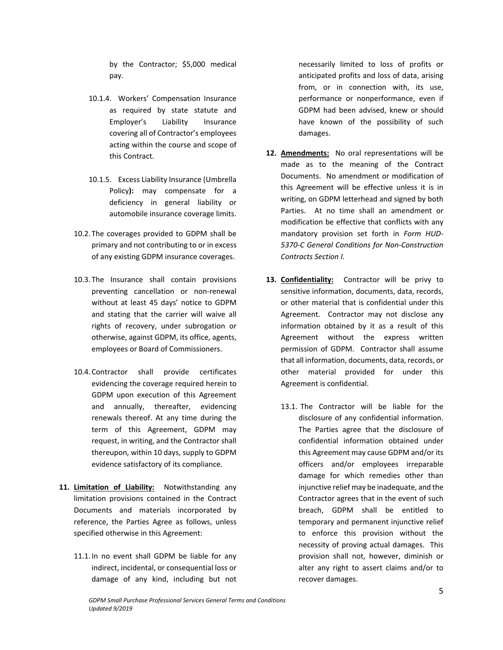by the Contractor; \$5,000 medical pay.

- 10.1.4. Workers' Compensation Insurance as required by state statute and Employer's Liability Insurance covering all of Contractor's employees acting within the course and scope of this Contract.
- 10.1.5. Excess Liability Insurance (Umbrella Policy**):**  may compensate for a deficiency in general liability or automobile insurance coverage limits.
- 10.2. The coverages provided to GDPM shall be primary and not contributing to or in excess of any existing GDPM insurance coverages.
- 10.3. The Insurance shall contain provisions preventing cancellation or non‐renewal without at least 45 days' notice to GDPM and stating that the carrier will waive all rights of recovery, under subrogation or otherwise, against GDPM, its office, agents, employees or Board of Commissioners.
- 10.4.Contractor shall provide certificates evidencing the coverage required herein to GDPM upon execution of this Agreement and annually, thereafter, evidencing renewals thereof. At any time during the term of this Agreement, GDPM may request, in writing, and the Contractor shall thereupon, within 10 days, supply to GDPM evidence satisfactory of its compliance.
- **11. Limitation of Liability:** Notwithstanding any limitation provisions contained in the Contract Documents and materials incorporated by reference, the Parties Agree as follows, unless specified otherwise in this Agreement:
	- 11.1. In no event shall GDPM be liable for any indirect, incidental, or consequential loss or damage of any kind, including but not

necessarily limited to loss of profits or anticipated profits and loss of data, arising from, or in connection with, its use, performance or nonperformance, even if GDPM had been advised, knew or should have known of the possibility of such damages.

- **12. Amendments:** No oral representations will be made as to the meaning of the Contract Documents. No amendment or modification of this Agreement will be effective unless it is in writing, on GDPM letterhead and signed by both Parties. At no time shall an amendment or modification be effective that conflicts with any mandatory provision set forth in *Form HUD‐ 5370‐C General Conditions for Non‐Construction Contracts Section I.*
- **13. Confidentiality:** Contractor will be privy to sensitive information, documents, data, records, or other material that is confidential under this Agreement. Contractor may not disclose any information obtained by it as a result of this Agreement without the express written permission of GDPM. Contractor shall assume that all information, documents, data, records, or other material provided for under this Agreement is confidential.
	- 13.1. The Contractor will be liable for the disclosure of any confidential information. The Parties agree that the disclosure of confidential information obtained under this Agreement may cause GDPM and/or its officers and/or employees irreparable damage for which remedies other than injunctive relief may be inadequate, and the Contractor agrees that in the event of such breach, GDPM shall be entitled to temporary and permanent injunctive relief to enforce this provision without the necessity of proving actual damages. This provision shall not, however, diminish or alter any right to assert claims and/or to recover damages.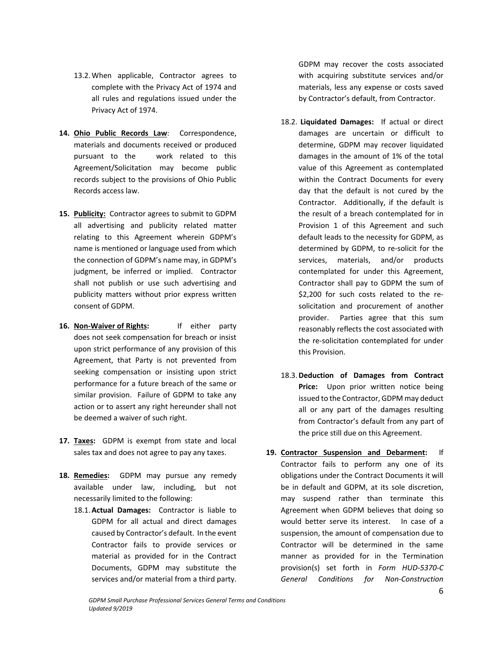- 13.2.When applicable, Contractor agrees to complete with the Privacy Act of 1974 and all rules and regulations issued under the Privacy Act of 1974.
- **14. Ohio Public Records Law**: Correspondence, materials and documents received or produced pursuant to the work related to this Agreement/Solicitation may become public records subject to the provisions of Ohio Public Records access law.
- **15. Publicity:** Contractor agrees to submit to GDPM all advertising and publicity related matter relating to this Agreement wherein GDPM's name is mentioned or language used from which the connection of GDPM's name may, in GDPM's judgment, be inferred or implied. Contractor shall not publish or use such advertising and publicity matters without prior express written consent of GDPM.
- **16. Non‐Waiver of Rights:**  If either party does not seek compensation for breach or insist upon strict performance of any provision of this Agreement, that Party is not prevented from seeking compensation or insisting upon strict performance for a future breach of the same or similar provision. Failure of GDPM to take any action or to assert any right hereunder shall not be deemed a waiver of such right.
- 17. Taxes: GDPM is exempt from state and local sales tax and does not agree to pay any taxes.
- 18. **Remedies:** GDPM may pursue any remedy available under law, including, but not necessarily limited to the following:
	- 18.1. Actual Damages: Contractor is liable to GDPM for all actual and direct damages caused by Contractor's default. In the event Contractor fails to provide services or material as provided for in the Contract Documents, GDPM may substitute the services and/or material from a third party.

GDPM may recover the costs associated with acquiring substitute services and/or materials, less any expense or costs saved by Contractor's default, from Contractor.

- 18.2.  **Liquidated Damages:** If actual or direct damages are uncertain or difficult to determine, GDPM may recover liquidated damages in the amount of 1% of the total value of this Agreement as contemplated within the Contract Documents for every day that the default is not cured by the Contractor. Additionally, if the default is the result of a breach contemplated for in Provision 1 of this Agreement and such default leads to the necessity for GDPM, as determined by GDPM, to re‐solicit for the services, materials, and/or products contemplated for under this Agreement, Contractor shall pay to GDPM the sum of \$2,200 for such costs related to the resolicitation and procurement of another provider. Parties agree that this sum reasonably reflects the cost associated with the re-solicitation contemplated for under this Provision.
- 18.3.**Deduction of Damages from Contract Price:** Upon prior written notice being issued to the Contractor, GDPM may deduct all or any part of the damages resulting from Contractor's default from any part of the price still due on this Agreement.
- **19. Contractor Suspension and Debarment:**  If Contractor fails to perform any one of its obligations under the Contract Documents it will be in default and GDPM, at its sole discretion, may suspend rather than terminate this Agreement when GDPM believes that doing so would better serve its interest. In case of a suspension, the amount of compensation due to Contractor will be determined in the same manner as provided for in the Termination provision(s) set forth in *Form HUD‐5370‐C General Conditions for Non‐Construction*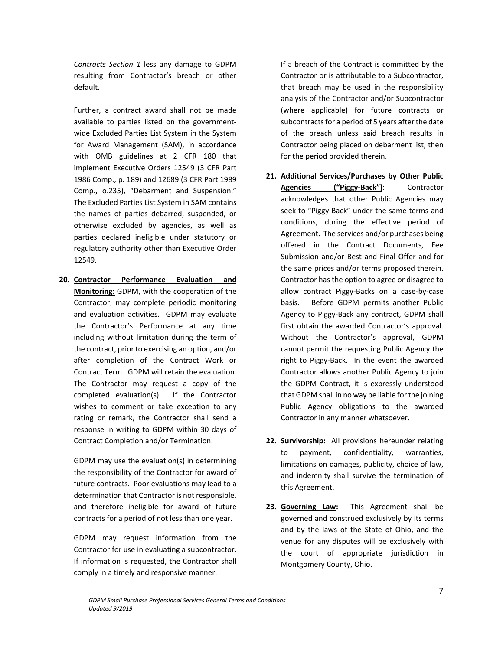*Contracts Section 1*  less any damage to GDPM resulting from Contractor's breach or other default.

Further, a contract award shall not be made available to parties listed on the government‐ wide Excluded Parties List System in the System for Award Management (SAM), in accordance with OMB guidelines at 2 CFR 180 that implement Executive Orders 12549 (3 CFR Part 1986 Comp., p. 189) and 12689 (3 CFR Part 1989 Comp., o.235), "Debarment and Suspension." The Excluded Parties List System in SAM contains the names of parties debarred, suspended, or otherwise excluded by agencies, as well as parties declared ineligible under statutory or regulatory authority other than Executive Order 12549.

**20. Contractor Performance Evaluation and Monitoring:** GDPM, with the cooperation of the Contractor, may complete periodic monitoring and evaluation activities. GDPM may evaluate the Contractor's Performance at any time including without limitation during the term of the contract, prior to exercising an option, and/or after completion of the Contract Work or Contract Term. GDPM will retain the evaluation. The Contractor may request a copy of the completed evaluation(s). If the Contractor wishes to comment or take exception to any rating or remark, the Contractor shall send a response in writing to GDPM within 30 days of Contract Completion and/or Termination.

GDPM may use the evaluation(s) in determining the responsibility of the Contractor for award of future contracts. Poor evaluations may lead to a determination that Contractor is not responsible, and therefore ineligible for award of future contracts for a period of not less than one year.

GDPM may request information from the Contractor for use in evaluating a subcontractor. If information is requested, the Contractor shall comply in a timely and responsive manner.

If a breach of the Contract is committed by the Contractor or is attributable to a Subcontractor, that breach may be used in the responsibility analysis of the Contractor and/or Subcontractor (where applicable) for future contracts or subcontracts for a period of 5 years after the date of the breach unless said breach results in Contractor being placed on debarment list, then for the period provided therein.

- **21. Additional Services/Purchases by Other Public**  Agencies ("Piggy-Back"): Contractor acknowledges that other Public Agencies may seek to "Piggy‐Back" under the same terms and conditions, during the effective period of Agreement. The services and/or purchases being offered in the Contract Documents, Fee Submission and/or Best and Final Offer and for the same prices and/or terms proposed therein. Contractor has the option to agree or disagree to allow contract Piggy‐Backs on a case‐by‐case basis. Before GDPM permits another Public Agency to Piggy‐Back any contract, GDPM shall first obtain the awarded Contractor's approval. Without the Contractor's approval, GDPM cannot permit the requesting Public Agency the right to Piggy-Back. In the event the awarded Contractor allows another Public Agency to join the GDPM Contract, it is expressly understood that GDPM shall in no way be liable for the joining Public Agency obligations to the awarded Contractor in any manner whatsoever.
- **22. Survivorship:** All provisions hereunder relating to payment, confidentiality, warranties, limitations on damages, publicity, choice of law, and indemnity shall survive the termination of this Agreement.
- **23. Governing Law:** This Agreement shall be governed and construed exclusively by its terms and by the laws of the State of Ohio, and the venue for any disputes will be exclusively with the court of appropriate jurisdiction in Montgomery County, Ohio.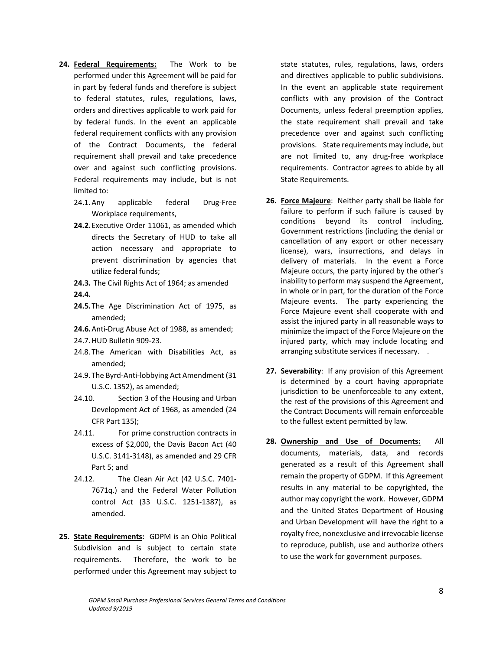- 24. Federal Requirements: The Work to be performed under this Agreement will be paid for in part by federal funds and therefore is subject to federal statutes, rules, regulations, laws, orders and directives applicable to work paid for by federal funds. In the event an applicable federal requirement conflicts with any provision of the Contract Documents, the federal requirement shall prevail and take precedence over and against such conflicting provisions. Federal requirements may include, but is not limited to:
	- 24.1. Any applicable federal Drug-Free Workplace requirements,
	- **24.2.**Executive Order 11061, as amended which directs the Secretary of HUD to take all action necessary and appropriate to prevent discrimination by agencies that utilize federal funds;
	- **24.3.** The Civil Rights Act of 1964; as amended **24.4.**
	- **24.5.**The Age Discrimination Act of 1975, as amended;
	- **24.6.**Anti‐Drug Abuse Act of 1988, as amended;
	- 24.7.HUD Bulletin 909‐23.
	- 24.8. The American with Disabilities Act, as amended;
	- 24.9. The Byrd‐Anti‐lobbying Act Amendment (31 U.S.C. 1352), as amended;
	- 24.10. Section 3 of the Housing and Urban Development Act of 1968, as amended (24 CFR Part 135);
	- 24.11. For prime construction contracts in excess of \$2,000, the Davis Bacon Act (40 U.S.C. 3141‐3148), as amended and 29 CFR Part 5; and
	- 24.12. The Clean Air Act (42 U.S.C. 7401‐ 7671q.) and the Federal Water Pollution control Act (33 U.S.C. 1251‐1387), as amended.
- 25. **State Requirements:** GDPM is an Ohio Political Subdivision and is subject to certain state requirements. Therefore, the work to be performed under this Agreement may subject to

state statutes, rules, regulations, laws, orders and directives applicable to public subdivisions. In the event an applicable state requirement conflicts with any provision of the Contract Documents, unless federal preemption applies, the state requirement shall prevail and take precedence over and against such conflicting provisions. State requirements may include, but are not limited to, any drug-free workplace requirements. Contractor agrees to abide by all State Requirements.

- **26. Force Majeure**: Neither party shall be liable for failure to perform if such failure is caused by conditions beyond its control including, Government restrictions (including the denial or cancellation of any export or other necessary license), wars, insurrections, and delays in delivery of materials. In the event a Force Majeure occurs, the party injured by the other's inability to perform may suspend the Agreement, in whole or in part, for the duration of the Force Majeure events. The party experiencing the Force Majeure event shall cooperate with and assist the injured party in all reasonable ways to minimize the impact of the Force Majeure on the injured party, which may include locating and arranging substitute services if necessary. .
- **27. Severability**: If any provision of this Agreement is determined by a court having appropriate jurisdiction to be unenforceable to any extent, the rest of the provisions of this Agreement and the Contract Documents will remain enforceable to the fullest extent permitted by law.
- **28. Ownership and Use of Documents:** All documents, materials, data, and records generated as a result of this Agreement shall remain the property of GDPM. If this Agreement results in any material to be copyrighted, the author may copyright the work. However, GDPM and the United States Department of Housing and Urban Development will have the right to a royalty free, nonexclusive and irrevocable license to reproduce, publish, use and authorize others to use the work for government purposes.